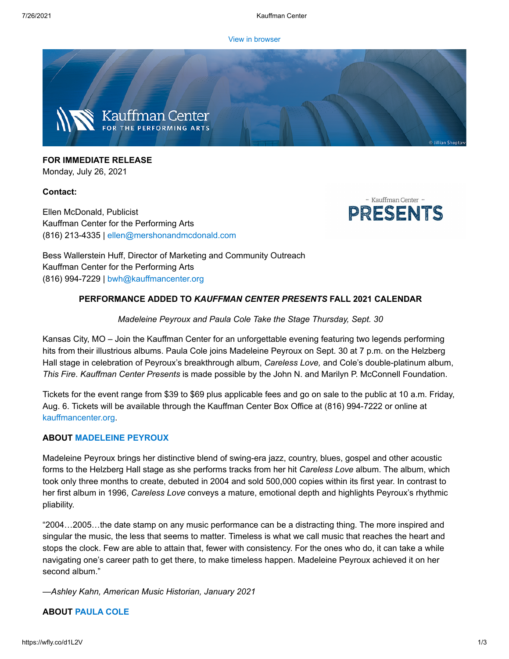[View in browser](https://e.wordfly.com/click?sid=MTc4XzE0MzQwXzEzMTExXzY3OTU&l=8b2f985a-38eb-eb11-a826-0050569d9d1d&utm_source=wordfly&utm_medium=email&utm_campaign=Release%3APeyroux%26Cole&utm_content=version_A&sourceNumber=)



**FOR IMMEDIATE RELEASE** Monday, July 26, 2021

#### **Contact:**

Ellen McDonald, Publicist Kauffman Center for the Performing Arts (816) 213-4335 | [ellen@mershonandmcdonald.com](mailto:ellen@mershonandmcdonald.com)



Bess Wallerstein Huff, Director of Marketing and Community Outreach Kauffman Center for the Performing Arts (816) 994-7229 | [bwh@kauffmancenter.org](mailto:bwh@kauffmancenter.org)

# **PERFORMANCE ADDED TO** *KAUFFMAN CENTER PRESENTS* **FALL 2021 CALENDAR**

## *Madeleine Peyroux and Paula Cole Take the Stage Thursday, Sept. 30*

Kansas City, MO – Join the Kauffman Center for an unforgettable evening featuring two legends performing hits from their illustrious albums. Paula Cole joins Madeleine Peyroux on Sept. 30 at 7 p.m. on the Helzberg Hall stage in celebration of Peyroux's breakthrough album, *Careless Love,* and Cole's double-platinum album, *This Fire*. *Kauffman Center Presents* is made possible by the John N. and Marilyn P. McConnell Foundation.

Tickets for the event range from \$39 to \$69 plus applicable fees and go on sale to the public at 10 a.m. Friday, Aug. 6. Tickets will be available through the Kauffman Center Box Office at (816) 994-7222 or online at [kauffmancenter.org.](https://e.wordfly.com/click?sid=MTc4XzE0MzQwXzEzMTExXzY3OTU&l=8e2f985a-38eb-eb11-a826-0050569d9d1d&utm_source=wordfly&utm_medium=email&utm_campaign=Release%3APeyroux%26Cole&utm_content=version_A&sourceNumber=)

## **ABOUT [MADELEINE](https://e.wordfly.com/click?sid=MTc4XzE0MzQwXzEzMTExXzY3OTU&l=8f2f985a-38eb-eb11-a826-0050569d9d1d&utm_source=wordfly&utm_medium=email&utm_campaign=Release%3APeyroux%26Cole&utm_content=version_A&sourceNumber=) PEYROUX**

Madeleine Peyroux brings her distinctive blend of swing-era jazz, country, blues, gospel and other acoustic forms to the Helzberg Hall stage as she performs tracks from her hit *Careless Love* album. The album, which took only three months to create, debuted in 2004 and sold 500,000 copies within its first year. In contrast to her first album in 1996, *Careless Love* conveys a mature, emotional depth and highlights Peyroux's rhythmic pliability.

"2004…2005…the date stamp on any music performance can be a distracting thing. The more inspired and singular the music, the less that seems to matter. Timeless is what we call music that reaches the heart and stops the clock. Few are able to attain that, fewer with consistency. For the ones who do, it can take a while navigating one's career path to get there, to make timeless happen. Madeleine Peyroux achieved it on her second album."

*—Ashley Kahn, American Music Historian, January 2021*

## **ABOUT [PAULA](https://e.wordfly.com/click?sid=MTc4XzE0MzQwXzEzMTExXzY3OTU&l=902f985a-38eb-eb11-a826-0050569d9d1d&utm_source=wordfly&utm_medium=email&utm_campaign=Release%3APeyroux%26Cole&utm_content=version_A&sourceNumber=) COLE**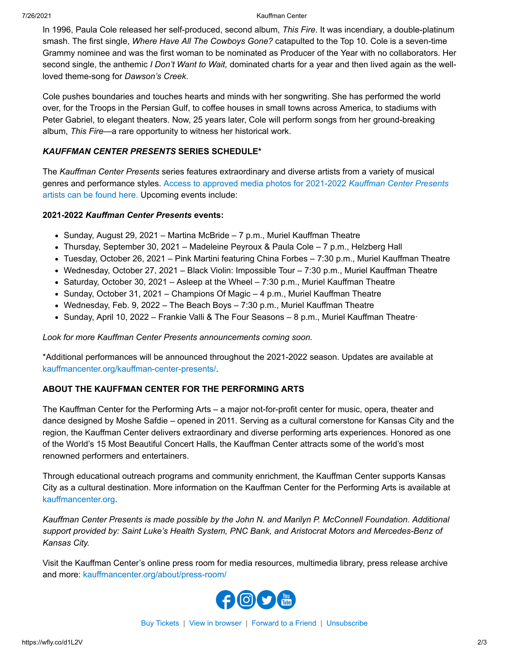#### 7/26/2021 Kauffman Center

In 1996, Paula Cole released her self-produced, second album, *This Fire*. It was incendiary, a double-platinum smash. The first single, *Where Have All The Cowboys Gone?* catapulted to the Top 10. Cole is a seven-time Grammy nominee and was the first woman to be nominated as Producer of the Year with no collaborators. Her second single, the anthemic *I Don't Want to Wait,* dominated charts for a year and then lived again as the wellloved theme-song for *Dawson's Creek*.

Cole pushes boundaries and touches hearts and minds with her songwriting. She has performed the world over, for the Troops in the Persian Gulf, to coffee houses in small towns across America, to stadiums with Peter Gabriel, to elegant theaters. Now, 25 years later, Cole will perform songs from her ground-breaking album, *This Fire*—a rare opportunity to witness her historical work.

#### *KAUFFMAN CENTER PRESENTS* **SERIES SCHEDULE\***

The *Kauffman Center Presents* series features extraordinary and diverse artists from a variety of musical genres and [performance styles. Access to approved media photos for 2021-2022](https://e.wordfly.com/click?sid=MTc4XzE0MzQwXzEzMTExXzY3OTU&l=912f985a-38eb-eb11-a826-0050569d9d1d&utm_source=wordfly&utm_medium=email&utm_campaign=Release%3APeyroux%26Cole&utm_content=version_A&sourceNumber=) *Kauffman Center Presents* artists can be found here. Upcoming events include:

#### **2021-2022** *Kauffman Center Presents* **events:**

- $\bullet$  Sunday, August 29, 2021 Martina McBride 7 p.m., Muriel Kauffman Theatre
- Thursday, September 30, 2021 Madeleine Peyroux & Paula Cole 7 p.m., Helzberg Hall
- Tuesday, October 26, 2021 Pink Martini featuring China Forbes 7:30 p.m., Muriel Kauffman Theatre
- Wednesday, October 27, 2021 Black Violin: Impossible Tour 7:30 p.m., Muriel Kauffman Theatre
- Saturday, October 30, 2021 Asleep at the Wheel 7:30 p.m., Muriel Kauffman Theatre
- $\bullet$  Sunday, October 31, 2021 Champions Of Magic 4 p.m., Muriel Kauffman Theatre
- Wednesday, Feb. 9, 2022 The Beach Boys 7:30 p.m., Muriel Kauffman Theatre
- Sunday, April 10, 2022 Frankie Valli & The Four Seasons 8 p.m., Muriel Kauffman Theatre·

#### *Look for more Kauffman Center Presents announcements coming soon.*

\*Additional performances will be announced throughout the 2021-2022 season. Updates are available at [kauffmancenter.org/kauffman-center-presents/.](https://e.wordfly.com/click?sid=MTc4XzE0MzQwXzEzMTExXzY3OTU&l=922f985a-38eb-eb11-a826-0050569d9d1d&utm_source=wordfly&utm_medium=email&utm_campaign=Release%3APeyroux%26Cole&utm_content=version_A&sourceNumber=)

## **ABOUT THE KAUFFMAN CENTER FOR THE PERFORMING ARTS**

The Kauffman Center for the Performing Arts – a major not-for-profit center for music, opera, theater and dance designed by Moshe Safdie – opened in 2011. Serving as a cultural cornerstone for Kansas City and the region, the Kauffman Center delivers extraordinary and diverse performing arts experiences. Honored as one of the World's 15 Most Beautiful Concert Halls, the Kauffman Center attracts some of the world's most renowned performers and entertainers.

Through educational outreach programs and community enrichment, the Kauffman Center supports Kansas City as a cultural destination. More information on the Kauffman Center for the Performing Arts is available at [kauffmancenter.org.](https://e.wordfly.com/click?sid=MTc4XzE0MzQwXzEzMTExXzY3OTU&l=932f985a-38eb-eb11-a826-0050569d9d1d&utm_source=wordfly&utm_medium=email&utm_campaign=Release%3APeyroux%26Cole&utm_content=version_A&sourceNumber=)

*Kauffman Center Presents is made possible by the John N. and Marilyn P. McConnell Foundation. Additional support provided by: Saint Luke's Health System, PNC Bank, and Aristocrat Motors and Mercedes-Benz of Kansas City.*

Visit the Kauffman Center's online press room for media resources, multimedia library, press release archive and more: [kauffmancenter.org/about/press-room/](https://e.wordfly.com/click?sid=MTc4XzE0MzQwXzEzMTExXzY3OTU&l=942f985a-38eb-eb11-a826-0050569d9d1d&utm_source=wordfly&utm_medium=email&utm_campaign=Release%3APeyroux%26Cole&utm_content=version_A&sourceNumber=)